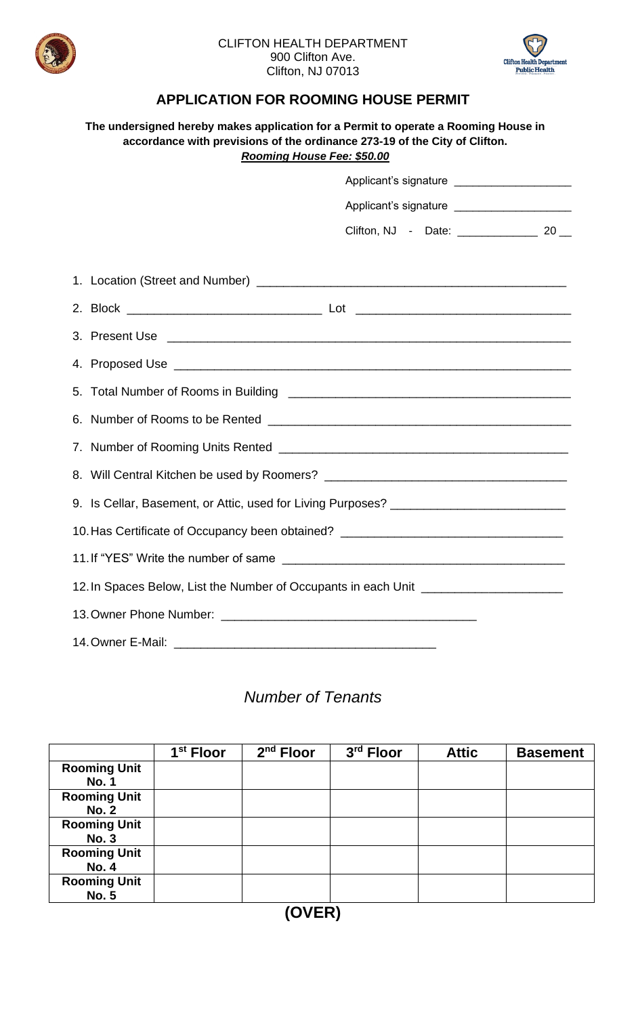

## CLIFTON HEALTH DEPARTMENT 900 Clifton Ave. Clifton, NJ 07013



## **APPLICATION FOR ROOMING HOUSE PERMIT**

| The undersigned hereby makes application for a Permit to operate a Rooming House in<br>accordance with previsions of the ordinance 273-19 of the City of Clifton.<br>Rooming House Fee: \$50.00 |  |  |  |  |  |  |  |  |
|-------------------------------------------------------------------------------------------------------------------------------------------------------------------------------------------------|--|--|--|--|--|--|--|--|
|                                                                                                                                                                                                 |  |  |  |  |  |  |  |  |
|                                                                                                                                                                                                 |  |  |  |  |  |  |  |  |
|                                                                                                                                                                                                 |  |  |  |  |  |  |  |  |
|                                                                                                                                                                                                 |  |  |  |  |  |  |  |  |
|                                                                                                                                                                                                 |  |  |  |  |  |  |  |  |
|                                                                                                                                                                                                 |  |  |  |  |  |  |  |  |
|                                                                                                                                                                                                 |  |  |  |  |  |  |  |  |
|                                                                                                                                                                                                 |  |  |  |  |  |  |  |  |
|                                                                                                                                                                                                 |  |  |  |  |  |  |  |  |
|                                                                                                                                                                                                 |  |  |  |  |  |  |  |  |
| 9. Is Cellar, Basement, or Attic, used for Living Purposes? ____________________                                                                                                                |  |  |  |  |  |  |  |  |
| 10. Has Certificate of Occupancy been obtained? ________________________________                                                                                                                |  |  |  |  |  |  |  |  |
|                                                                                                                                                                                                 |  |  |  |  |  |  |  |  |
| 12. In Spaces Below, List the Number of Occupants in each Unit _________________                                                                                                                |  |  |  |  |  |  |  |  |
|                                                                                                                                                                                                 |  |  |  |  |  |  |  |  |
|                                                                                                                                                                                                 |  |  |  |  |  |  |  |  |

## *Number of Tenants*

|                                    | 1 <sup>st</sup> Floor | $2nd$ Floor | 3 <sup>rd</sup> Floor | <b>Attic</b> | <b>Basement</b> |  |  |
|------------------------------------|-----------------------|-------------|-----------------------|--------------|-----------------|--|--|
| <b>Rooming Unit</b>                |                       |             |                       |              |                 |  |  |
| <b>No. 1</b>                       |                       |             |                       |              |                 |  |  |
| <b>Rooming Unit</b>                |                       |             |                       |              |                 |  |  |
| <b>No. 2</b>                       |                       |             |                       |              |                 |  |  |
| <b>Rooming Unit</b>                |                       |             |                       |              |                 |  |  |
| <b>No. 3</b>                       |                       |             |                       |              |                 |  |  |
| <b>Rooming Unit</b>                |                       |             |                       |              |                 |  |  |
| <b>No. 4</b>                       |                       |             |                       |              |                 |  |  |
| <b>Rooming Unit</b>                |                       |             |                       |              |                 |  |  |
| <b>No. 5</b>                       |                       |             |                       |              |                 |  |  |
| $\sim$ $\sim$ $\sim$ $\sim$ $\sim$ |                       |             |                       |              |                 |  |  |